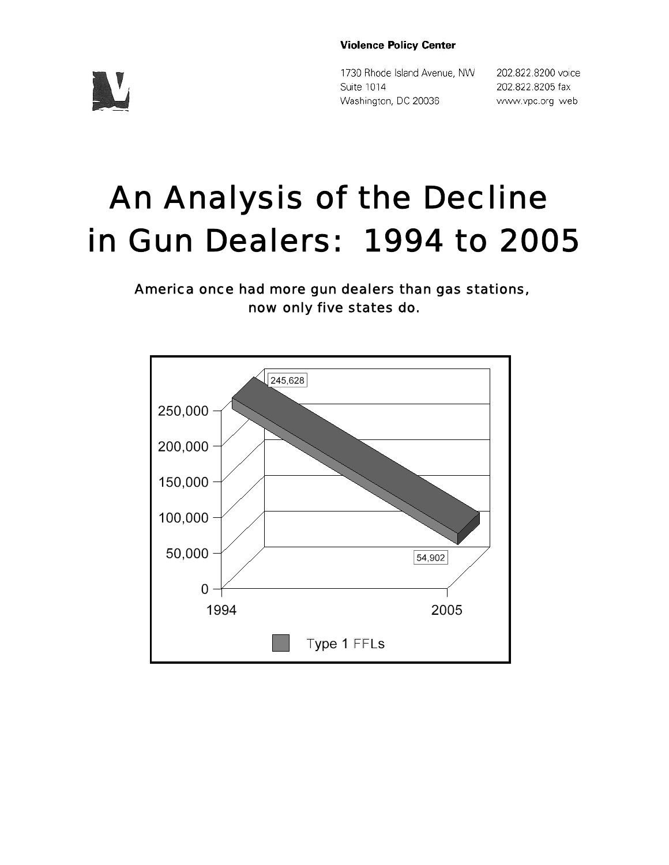#### **Violence Policy Center**

1730 Rhode Island Avenue, NW Suite 1014 Washington, DC 20036

202.822.8200 voice 202.822.8205 fax www.vpc.org web

# An Analysis of the Decline in Gun Dealers: 1994 to 2005

America once had more gun dealers than gas stations, now only five states do.



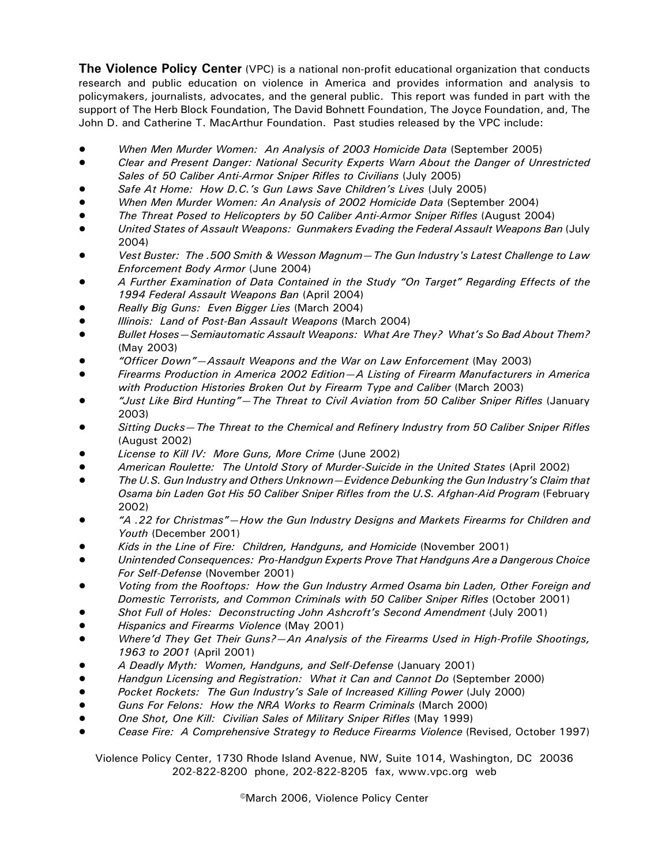**The Violence Policy Center** (VPC) is a national non-profit educational organization that conducts research and public education on violence in America and provides information and analysis to policymakers, journalists, advocates, and the general public. This report was funded in part with the support of The Herb Block Foundation, The David Bohnett Foundation, The Joyce Foundation, and, The John D. and Catherine T. MacArthur Foundation. Past studies released by the VPC include:

- ! *When Men Murder Women: An Analysis of 2003 Homicide Data* (September 2005)
- ! *Clear and Present Danger: National Security Experts Warn About the Danger of Unrestricted Sales of 50 Caliber Anti-Armor Sniper Rifles to Civilians* (July 2005)
- ! *Safe At Home: How D.C.'s Gun Laws Save Children's Lives* (July 2005)
- ! *When Men Murder Women: An Analysis of 2002 Homicide Data* (September 2004)
- ! *The Threat Posed to Helicopters by 50 Caliber Anti-Armor Sniper Rifles* (August 2004)
- ! *United States of Assault Weapons: Gunmakers Evading the Federal Assault Weapons Ban* (July 2004)
- ! *Vest Buster: The .500 Smith & Wesson Magnum—The Gun Industry's Latest Challenge to Law Enforcement Body Armor* (June 2004)
- ! *A Further Examination of Data Contained in the Study "On Target" Regarding Effects of the 1994 Federal Assault Weapons Ban* (April 2004)
- ! *Really Big Guns: Even Bigger Lies* (March 2004)
- ! *Illinois: Land of Post-Ban Assault Weapons* (March 2004)
- ! *Bullet Hoses—Semiautomatic Assault Weapons: What Are They? What's So Bad About Them?* (May 2003)
- ! *"Officer Down"—Assault Weapons and the War on Law Enforcement* (May 2003)
- ! *Firearms Production in America 2002 Edition—A Listing of Firearm Manufacturers in America with Production Histories Broken Out by Firearm Type and Caliber* (March 2003)
- ! *"Just Like Bird Hunting"—The Threat to Civil Aviation from 50 Caliber Sniper Rifles* (January 2003)
- ! *Sitting Ducks—The Threat to the Chemical and Refinery Industry from 50 Caliber Sniper Rifles* (August 2002)
- ! *License to Kill IV: More Guns, More Crime* (June 2002)
- ! *American Roulette: The Untold Story of Murder-Suicide in the United States* (April 2002)
- ! *The U.S. Gun Industry and Others Unknown—Evidence Debunking the Gun Industry's Claim that Osama bin Laden Got His 50 Caliber Sniper Rifles from the U.S. Afghan-Aid Program* (February 2002)
- ! *"A .22 for Christmas"—How the Gun Industry Designs and Markets Firearms for Children and Youth* (December 2001)
- ! *Kids in the Line of Fire: Children, Handguns, and Homicide* (November 2001)
- ! *Unintended Consequences: Pro-Handgun Experts Prove That Handguns Are a Dangerous Choice For Self-Defense* (November 2001)
- ! *Voting from the Rooftops: How the Gun Industry Armed Osama bin Laden, Other Foreign and Domestic Terrorists, and Common Criminals with 50 Caliber Sniper Rifles* (October 2001)
- ! *Shot Full of Holes: Deconstructing John Ashcroft's Second Amendment* (July 2001)
- ! *Hispanics and Firearms Violence* (May 2001)
- ! *Where'd They Get Their Guns?—An Analysis of the Firearms Used in High-Profile Shootings, 1963 to 2001* (April 2001)
- ! *A Deadly Myth: Women, Handguns, and Self-Defense* (January 2001)
- ! *Handgun Licensing and Registration: What it Can and Cannot Do* (September 2000)
- ! *Pocket Rockets: The Gun Industry's Sale of Increased Killing Power* (July 2000)
- ! *Guns For Felons: How the NRA Works to Rearm Criminals* (March 2000)
- ! *One Shot, One Kill: Civilian Sales of Military Sniper Rifles* (May 1999)
- ! *Cease Fire: A Comprehensive Strategy to Reduce Firearms Violence* (Revised, October 1997)

Violence Policy Center, 1730 Rhode Island Avenue, NW, Suite 1014, Washington, DC 20036 202-822-8200 phone, 202-822-8205 fax, www.vpc.org web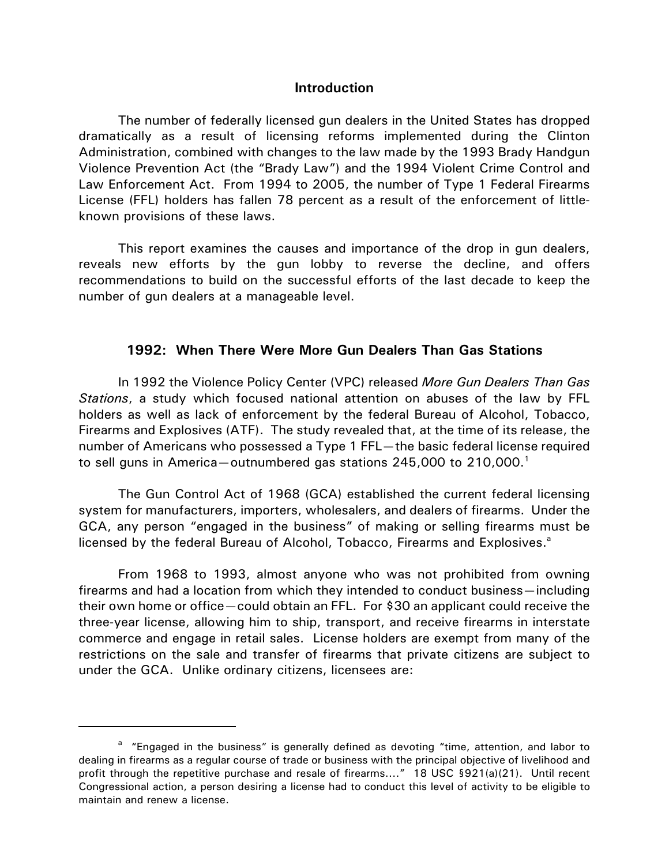#### **Introduction**

The number of federally licensed gun dealers in the United States has dropped dramatically as a result of licensing reforms implemented during the Clinton Administration, combined with changes to the law made by the 1993 Brady Handgun Violence Prevention Act (the "Brady Law") and the 1994 Violent Crime Control and Law Enforcement Act. From 1994 to 2005, the number of Type 1 Federal Firearms License (FFL) holders has fallen 78 percent as a result of the enforcement of littleknown provisions of these laws.

This report examines the causes and importance of the drop in gun dealers, reveals new efforts by the gun lobby to reverse the decline, and offers recommendations to build on the successful efforts of the last decade to keep the number of gun dealers at a manageable level.

#### **1992: When There Were More Gun Dealers Than Gas Stations**

In 1992 the Violence Policy Center (VPC) released *More Gun Dealers Than Gas Stations*, a study which focused national attention on abuses of the law by FFL holders as well as lack of enforcement by the federal Bureau of Alcohol, Tobacco, Firearms and Explosives (ATF). The study revealed that, at the time of its release, the number of Americans who possessed a Type 1 FFL—the basic federal license required to sell guns in America—outnumbered gas stations 245,000 to 210,000.<sup>1</sup>

The Gun Control Act of 1968 (GCA) established the current federal licensing system for manufacturers, importers, wholesalers, and dealers of firearms. Under the GCA, any person "engaged in the business" of making or selling firearms must be licensed by the federal Bureau of Alcohol, Tobacco, Firearms and Explosives.<sup>a</sup>

From 1968 to 1993, almost anyone who was not prohibited from owning firearms and had a location from which they intended to conduct business—including their own home or office—could obtain an FFL. For \$30 an applicant could receive the three-year license, allowing him to ship, transport, and receive firearms in interstate commerce and engage in retail sales. License holders are exempt from many of the restrictions on the sale and transfer of firearms that private citizens are subject to under the GCA. Unlike ordinary citizens, licensees are:

<sup>&</sup>lt;sup>a</sup> "Engaged in the business" is generally defined as devoting "time, attention, and labor to dealing in firearms as a regular course of trade or business with the principal objective of livelihood and profit through the repetitive purchase and resale of firearms...." 18 USC §921(a)(21). Until recent Congressional action, a person desiring a license had to conduct this level of activity to be eligible to maintain and renew a license.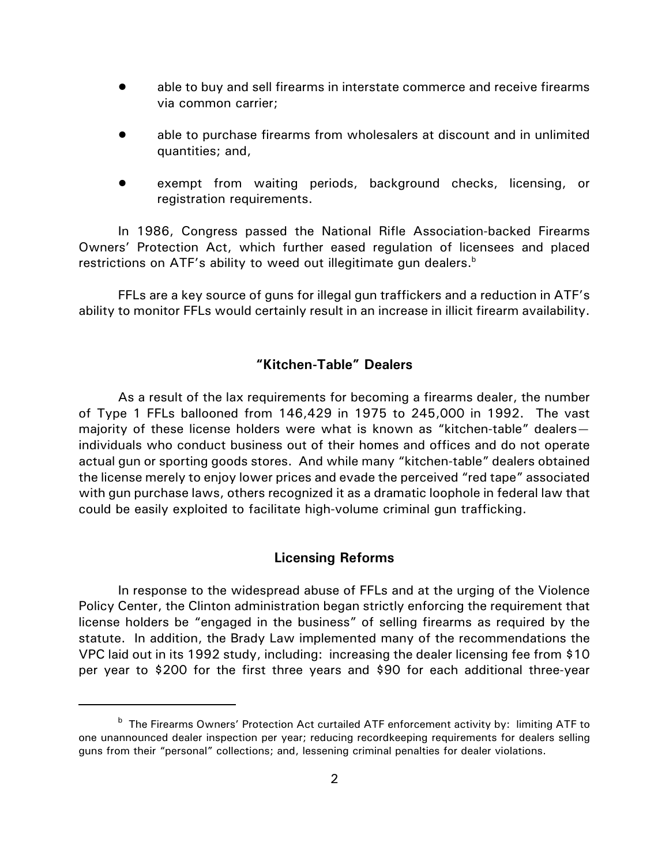- able to buy and sell firearms in interstate commerce and receive firearms via common carrier;
- able to purchase firearms from wholesalers at discount and in unlimited quantities; and,
- exempt from waiting periods, background checks, licensing, or registration requirements.

In 1986, Congress passed the National Rifle Association-backed Firearms Owners' Protection Act, which further eased regulation of licensees and placed restrictions on ATF's ability to weed out illegitimate gun dealers. $<sup>b</sup>$ </sup>

FFLs are a key source of guns for illegal gun traffickers and a reduction in ATF's ability to monitor FFLs would certainly result in an increase in illicit firearm availability.

## **"Kitchen-Table" Dealers**

As a result of the lax requirements for becoming a firearms dealer, the number of Type 1 FFLs ballooned from 146,429 in 1975 to 245,000 in 1992. The vast majority of these license holders were what is known as "kitchen-table" dealers individuals who conduct business out of their homes and offices and do not operate actual gun or sporting goods stores. And while many "kitchen-table" dealers obtained the license merely to enjoy lower prices and evade the perceived "red tape" associated with gun purchase laws, others recognized it as a dramatic loophole in federal law that could be easily exploited to facilitate high-volume criminal gun trafficking.

## **Licensing Reforms**

In response to the widespread abuse of FFLs and at the urging of the Violence Policy Center, the Clinton administration began strictly enforcing the requirement that license holders be "engaged in the business" of selling firearms as required by the statute. In addition, the Brady Law implemented many of the recommendations the VPC laid out in its 1992 study, including: increasing the dealer licensing fee from \$10 per year to \$200 for the first three years and \$90 for each additional three-year

<sup>&</sup>lt;sup>b</sup> The Firearms Owners' Protection Act curtailed ATF enforcement activity by: limiting ATF to one unannounced dealer inspection per year; reducing recordkeeping requirements for dealers selling guns from their "personal" collections; and, lessening criminal penalties for dealer violations.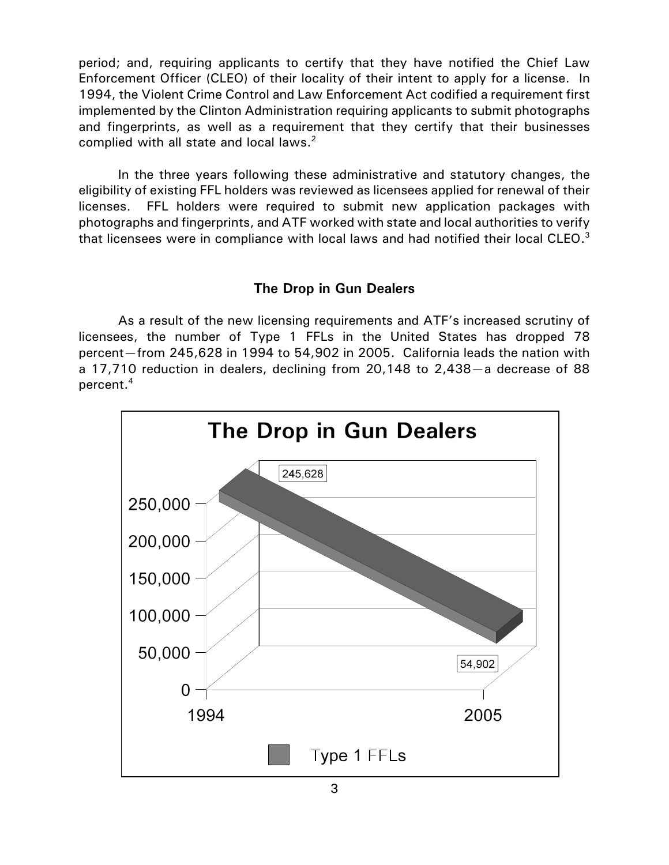period; and, requiring applicants to certify that they have notified the Chief Law Enforcement Officer (CLEO) of their locality of their intent to apply for a license. In 1994, the Violent Crime Control and Law Enforcement Act codified a requirement first implemented by the Clinton Administration requiring applicants to submit photographs and fingerprints, as well as a requirement that they certify that their businesses complied with all state and local laws.<sup>2</sup>

In the three years following these administrative and statutory changes, the eligibility of existing FFL holders was reviewed as licensees applied for renewal of their licenses. FFL holders were required to submit new application packages with photographs and fingerprints, and ATF worked with state and local authorities to verify that licensees were in compliance with local laws and had notified their local CLEO.<sup>3</sup>

## **The Drop in Gun Dealers**

As a result of the new licensing requirements and ATF's increased scrutiny of licensees, the number of Type 1 FFLs in the United States has dropped 78 percent—from 245,628 in 1994 to 54,902 in 2005. California leads the nation with a 17,710 reduction in dealers, declining from 20,148 to 2,438—a decrease of 88 percent.4

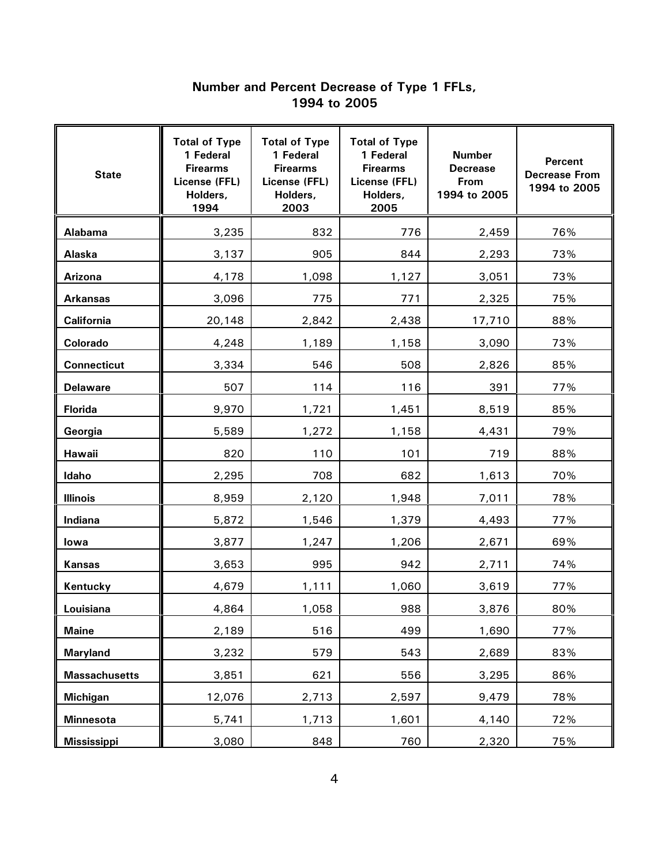#### **Number and Percent Decrease of Type 1 FFLs, 1994 to 2005**

| <b>State</b>         | <b>Total of Type</b><br>1 Federal<br><b>Firearms</b><br>License (FFL)<br>Holders,<br>1994 | <b>Total of Type</b><br>1 Federal<br><b>Firearms</b><br>License (FFL)<br>Holders,<br>2003 | <b>Total of Type</b><br>1 Federal<br><b>Firearms</b><br>License (FFL)<br>Holders,<br>2005 | <b>Number</b><br><b>Decrease</b><br>From<br>1994 to 2005 | <b>Percent</b><br><b>Decrease From</b><br>1994 to 2005 |
|----------------------|-------------------------------------------------------------------------------------------|-------------------------------------------------------------------------------------------|-------------------------------------------------------------------------------------------|----------------------------------------------------------|--------------------------------------------------------|
| Alabama              | 3,235                                                                                     | 832                                                                                       | 776                                                                                       | 2,459                                                    | 76%                                                    |
| Alaska               | 3,137                                                                                     | 905                                                                                       | 844                                                                                       | 2,293                                                    | 73%                                                    |
| <b>Arizona</b>       | 4,178                                                                                     | 1,098                                                                                     | 1,127                                                                                     | 3,051                                                    | 73%                                                    |
| <b>Arkansas</b>      | 3,096                                                                                     | 775                                                                                       | 771                                                                                       | 2,325                                                    | 75%                                                    |
| California           | 20,148                                                                                    | 2,842                                                                                     | 2,438                                                                                     | 17,710                                                   | 88%                                                    |
| Colorado             | 4,248                                                                                     | 1,189                                                                                     | 1,158                                                                                     | 3,090                                                    | 73%                                                    |
| <b>Connecticut</b>   | 3,334                                                                                     | 546                                                                                       | 508                                                                                       | 2,826                                                    | 85%                                                    |
| <b>Delaware</b>      | 507                                                                                       | 114                                                                                       | 116                                                                                       | 391                                                      | 77%                                                    |
| <b>Florida</b>       | 9,970                                                                                     | 1,721                                                                                     | 1,451                                                                                     | 8,519                                                    | 85%                                                    |
| Georgia              | 5,589                                                                                     | 1,272                                                                                     | 1,158                                                                                     | 4,431                                                    | 79%                                                    |
| Hawaii               | 820                                                                                       | 110                                                                                       | 101                                                                                       | 719                                                      | 88%                                                    |
| Idaho                | 2,295                                                                                     | 708                                                                                       | 682                                                                                       | 1,613                                                    | 70%                                                    |
| <b>Illinois</b>      | 8,959                                                                                     | 2,120                                                                                     | 1,948                                                                                     | 7,011                                                    | 78%                                                    |
| Indiana              | 5,872                                                                                     | 1,546                                                                                     | 1,379                                                                                     | 4,493                                                    | 77%                                                    |
| lowa                 | 3,877                                                                                     | 1,247                                                                                     | 1,206                                                                                     | 2,671                                                    | 69%                                                    |
| <b>Kansas</b>        | 3,653                                                                                     | 995                                                                                       | 942                                                                                       | 2,711                                                    | 74%                                                    |
| Kentucky             | 4,679                                                                                     | 1,111                                                                                     | 1,060                                                                                     | 3,619                                                    | 77%                                                    |
| Louisiana            | 4,864                                                                                     | 1,058                                                                                     | 988                                                                                       | 3,876                                                    | 80%                                                    |
| <b>Maine</b>         | 2,189                                                                                     | 516                                                                                       | 499                                                                                       | 1,690                                                    | 77%                                                    |
| <b>Maryland</b>      | 3,232                                                                                     | 579                                                                                       | 543                                                                                       | 2,689                                                    | 83%                                                    |
| <b>Massachusetts</b> | 3,851                                                                                     | 621                                                                                       | 556                                                                                       | 3,295                                                    | 86%                                                    |
| <b>Michigan</b>      | 12,076                                                                                    | 2,713                                                                                     | 2,597                                                                                     | 9,479                                                    | 78%                                                    |
| <b>Minnesota</b>     | 5,741                                                                                     | 1,713                                                                                     | 1,601                                                                                     | 4,140                                                    | 72%                                                    |
| <b>Mississippi</b>   | 3,080                                                                                     | 848                                                                                       | 760                                                                                       | 2,320                                                    | 75%                                                    |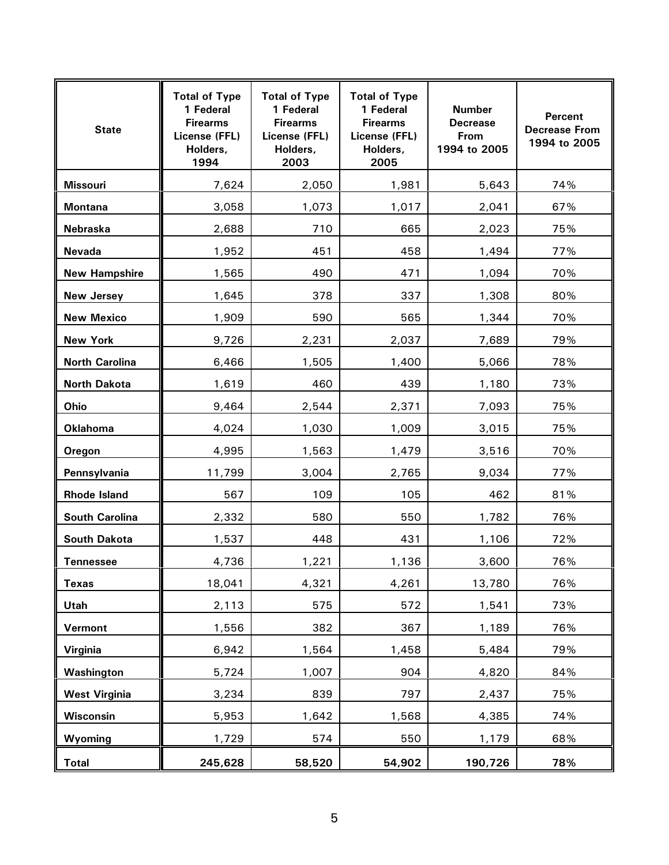| <b>State</b>          | <b>Total of Type</b><br>1 Federal<br><b>Firearms</b><br>License (FFL)<br>Holders,<br>1994 | <b>Total of Type</b><br>1 Federal<br><b>Firearms</b><br>License (FFL)<br>Holders,<br>2003 | <b>Total of Type</b><br>1 Federal<br><b>Firearms</b><br>License (FFL)<br>Holders,<br>2005 | <b>Number</b><br><b>Decrease</b><br>From<br>1994 to 2005 | <b>Percent</b><br><b>Decrease From</b><br>1994 to 2005 |
|-----------------------|-------------------------------------------------------------------------------------------|-------------------------------------------------------------------------------------------|-------------------------------------------------------------------------------------------|----------------------------------------------------------|--------------------------------------------------------|
| <b>Missouri</b>       | 7,624                                                                                     | 2,050                                                                                     | 1,981                                                                                     | 5,643                                                    | 74%                                                    |
| <b>Montana</b>        | 3,058                                                                                     | 1,073                                                                                     | 1,017                                                                                     | 2,041                                                    | 67%                                                    |
| Nebraska              | 2,688                                                                                     | 710                                                                                       | 665                                                                                       | 2,023                                                    | 75%                                                    |
| <b>Nevada</b>         | 1,952                                                                                     | 451                                                                                       | 458                                                                                       | 1,494                                                    | 77%                                                    |
| <b>New Hampshire</b>  | 1,565                                                                                     | 490                                                                                       | 471                                                                                       | 1,094                                                    | 70%                                                    |
| <b>New Jersey</b>     | 1,645                                                                                     | 378                                                                                       | 337                                                                                       | 1,308                                                    | 80%                                                    |
| <b>New Mexico</b>     | 1,909                                                                                     | 590                                                                                       | 565                                                                                       | 1,344                                                    | 70%                                                    |
| <b>New York</b>       | 9,726                                                                                     | 2,231                                                                                     | 2,037                                                                                     | 7,689                                                    | 79%                                                    |
| <b>North Carolina</b> | 6,466                                                                                     | 1,505                                                                                     | 1,400                                                                                     | 5,066                                                    | 78%                                                    |
| North Dakota          | 1,619                                                                                     | 460                                                                                       | 439                                                                                       | 1,180                                                    | 73%                                                    |
| Ohio                  | 9,464                                                                                     | 2,544                                                                                     | 2,371                                                                                     | 7,093                                                    | 75%                                                    |
| <b>Oklahoma</b>       | 4,024                                                                                     | 1,030                                                                                     | 1,009                                                                                     | 3,015                                                    | 75%                                                    |
| Oregon                | 4,995                                                                                     | 1,563                                                                                     | 1,479                                                                                     | 3,516                                                    | 70%                                                    |
| Pennsylvania          | 11,799                                                                                    | 3,004                                                                                     | 2,765                                                                                     | 9,034                                                    | 77%                                                    |
| <b>Rhode Island</b>   | 567                                                                                       | 109                                                                                       | 105                                                                                       | 462                                                      | 81%                                                    |
| <b>South Carolina</b> | 2,332                                                                                     | 580                                                                                       | 550                                                                                       | 1,782                                                    | 76%                                                    |
| South Dakota          | 1,537                                                                                     | 448                                                                                       | 431                                                                                       | 1,106                                                    | 72%                                                    |
| <b>Tennessee</b>      | 4,736                                                                                     | 1,221                                                                                     | 1,136                                                                                     | 3,600                                                    | 76%                                                    |
| <b>Texas</b>          | 18,041                                                                                    | 4,321                                                                                     | 4,261                                                                                     | 13,780                                                   | 76%                                                    |
| Utah                  | 2,113                                                                                     | 575                                                                                       | 572                                                                                       | 1,541                                                    | 73%                                                    |
| Vermont               | 1,556                                                                                     | 382                                                                                       | 367                                                                                       | 1,189                                                    | 76%                                                    |
| Virginia              | 6,942                                                                                     | 1,564                                                                                     | 1,458                                                                                     | 5,484                                                    | 79%                                                    |
| Washington            | 5,724                                                                                     | 1,007                                                                                     | 904                                                                                       | 4,820                                                    | 84%                                                    |
| <b>West Virginia</b>  | 3,234                                                                                     | 839                                                                                       | 797                                                                                       | 2,437                                                    | 75%                                                    |
| Wisconsin             | 5,953                                                                                     | 1,642                                                                                     | 1,568                                                                                     | 4,385                                                    | 74%                                                    |
| Wyoming               | 1,729                                                                                     | 574                                                                                       | 550                                                                                       | 1,179                                                    | 68%                                                    |
| <b>Total</b>          | 245,628                                                                                   | 58,520                                                                                    | 54,902                                                                                    | 190,726                                                  | 78%                                                    |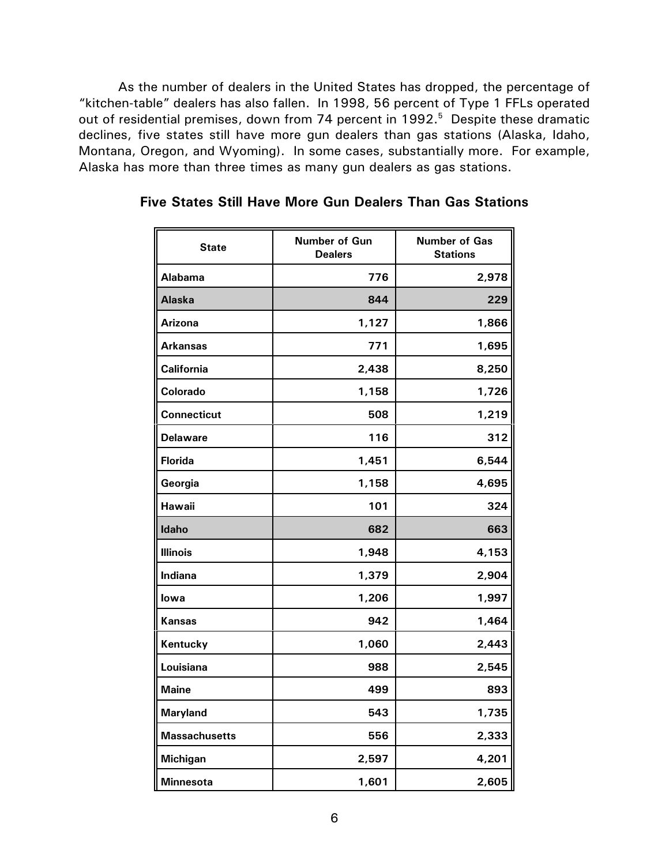As the number of dealers in the United States has dropped, the percentage of "kitchen-table" dealers has also fallen. In 1998, 56 percent of Type 1 FFLs operated out of residential premises, down from 74 percent in 1992.<sup>5</sup> Despite these dramatic declines, five states still have more gun dealers than gas stations (Alaska, Idaho, Montana, Oregon, and Wyoming). In some cases, substantially more. For example, Alaska has more than three times as many gun dealers as gas stations.

| <b>State</b>         | Number of Gun<br><b>Dealers</b> | <b>Number of Gas</b><br><b>Stations</b> |  |
|----------------------|---------------------------------|-----------------------------------------|--|
| <b>Alabama</b>       | 776                             | 2,978                                   |  |
| Alaska               | 844                             | 229                                     |  |
| Arizona              | 1,127                           | 1,866                                   |  |
| <b>Arkansas</b>      | 771                             | 1,695                                   |  |
| <b>California</b>    | 2,438                           | 8,250                                   |  |
| Colorado             | 1,158                           | 1,726                                   |  |
| <b>Connecticut</b>   | 508                             | 1,219                                   |  |
| <b>Delaware</b>      | 116                             | 312                                     |  |
| <b>Florida</b>       | 1,451                           | 6,544                                   |  |
| Georgia              | 1,158                           | 4,695                                   |  |
| Hawaii               | 101                             | 324                                     |  |
| Idaho                | 682                             | 663                                     |  |
| <b>Illinois</b>      | 1,948                           | 4,153                                   |  |
| Indiana              | 1,379                           | 2,904                                   |  |
| lowa                 | 1,206                           | 1,997                                   |  |
| <b>Kansas</b>        | 942                             | 1,464                                   |  |
| Kentucky             | 1,060                           | 2,443                                   |  |
| Louisiana            | 988                             | 2,545                                   |  |
| <b>Maine</b>         | 499                             | 893                                     |  |
| <b>Maryland</b>      | 543                             | 1,735                                   |  |
| <b>Massachusetts</b> | 556                             | 2,333                                   |  |
| <b>Michigan</b>      | 2,597                           | 4,201                                   |  |
| <b>Minnesota</b>     | 1,601                           | 2,605                                   |  |

**Five States Still Have More Gun Dealers Than Gas Stations**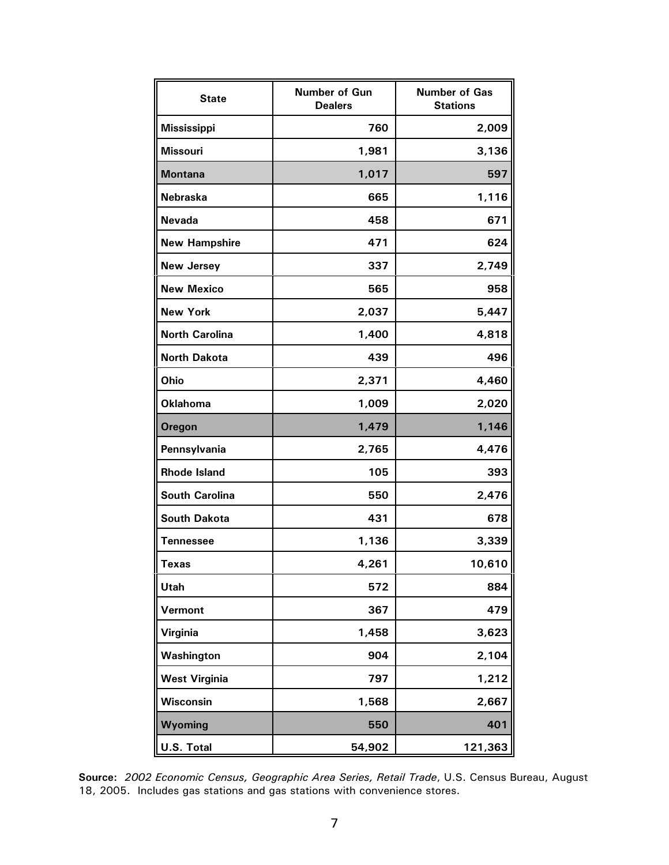| <b>State</b>          | Number of Gun<br><b>Dealers</b> | <b>Number of Gas</b><br><b>Stations</b> |  |
|-----------------------|---------------------------------|-----------------------------------------|--|
| <b>Mississippi</b>    | 760                             | 2,009                                   |  |
| <b>Missouri</b>       | 1,981                           | 3,136                                   |  |
| <b>Montana</b>        | 1,017                           | 597                                     |  |
| <b>Nebraska</b>       | 665                             | 1,116                                   |  |
| <b>Nevada</b>         | 458                             | 671                                     |  |
| <b>New Hampshire</b>  | 471                             | 624                                     |  |
| <b>New Jersey</b>     | 337                             | 2,749                                   |  |
| <b>New Mexico</b>     | 565                             | 958                                     |  |
| <b>New York</b>       | 2,037                           | 5,447                                   |  |
| <b>North Carolina</b> | 1,400                           | 4,818                                   |  |
| <b>North Dakota</b>   | 439                             | 496                                     |  |
| Ohio                  | 2,371                           | 4,460                                   |  |
| <b>Oklahoma</b>       | 1,009                           | 2,020                                   |  |
| <b>Oregon</b>         | 1,479                           | 1,146                                   |  |
| Pennsylvania          | 2,765                           | 4,476                                   |  |
| <b>Rhode Island</b>   | 105                             | 393                                     |  |
| <b>South Carolina</b> | 550                             | 2,476                                   |  |
| <b>South Dakota</b>   | 431                             | 678                                     |  |
| <b>Tennessee</b>      | 1,136                           | 3,339                                   |  |
| <b>Texas</b>          | 4,261                           | 10,610                                  |  |
| Utah                  | 572                             | 884                                     |  |
| Vermont               | 367                             | 479                                     |  |
| Virginia              | 1,458                           | 3,623                                   |  |
| Washington            | 904                             | 2,104                                   |  |
| <b>West Virginia</b>  | 797                             | 1,212                                   |  |
| <b>Wisconsin</b>      | 1,568                           | 2,667                                   |  |
| Wyoming               | 550                             | 401                                     |  |
| U.S. Total            | 54,902                          | 121,363                                 |  |

**Source:** *2002 Economic Census, Geographic Area Series, Retail Trade*, U.S. Census Bureau, August 18, 2005. Includes gas stations and gas stations with convenience stores.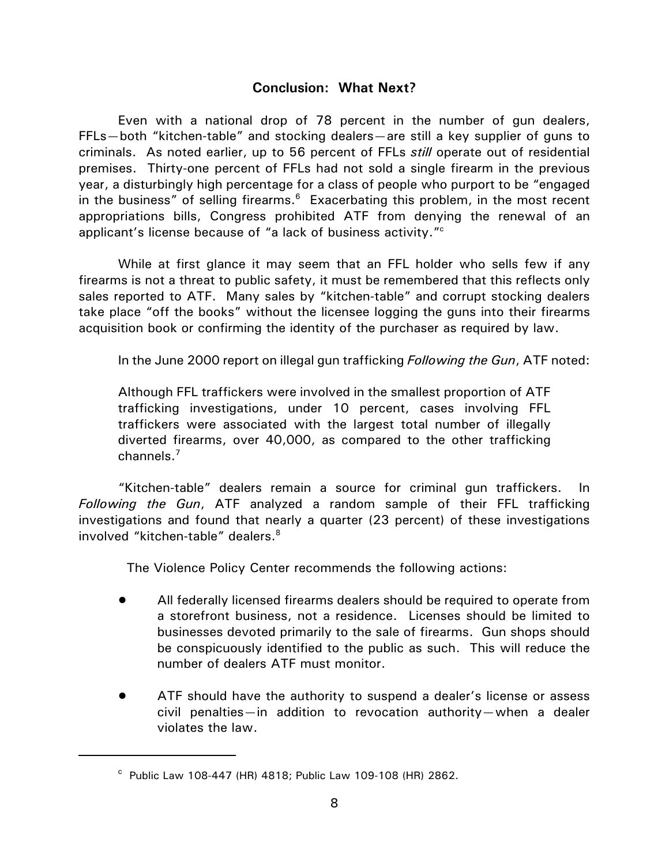## **Conclusion: What Next?**

Even with a national drop of 78 percent in the number of gun dealers, FFLs—both "kitchen-table" and stocking dealers—are still a key supplier of guns to criminals. As noted earlier, up to 56 percent of FFLs *still* operate out of residential premises. Thirty-one percent of FFLs had not sold a single firearm in the previous year, a disturbingly high percentage for a class of people who purport to be "engaged in the business" of selling firearms. $6$  Exacerbating this problem, in the most recent appropriations bills, Congress prohibited ATF from denying the renewal of an applicant's license because of "a lack of business activity."<sup>c</sup>

While at first glance it may seem that an FFL holder who sells few if any firearms is not a threat to public safety, it must be remembered that this reflects only sales reported to ATF. Many sales by "kitchen-table" and corrupt stocking dealers take place "off the books" without the licensee logging the guns into their firearms acquisition book or confirming the identity of the purchaser as required by law.

In the June 2000 report on illegal gun trafficking *Following the Gun*, ATF noted:

Although FFL traffickers were involved in the smallest proportion of ATF trafficking investigations, under 10 percent, cases involving FFL traffickers were associated with the largest total number of illegally diverted firearms, over 40,000, as compared to the other trafficking channels.<sup>7</sup>

"Kitchen-table" dealers remain a source for criminal gun traffickers. In *Following the Gun*, ATF analyzed a random sample of their FFL trafficking investigations and found that nearly a quarter (23 percent) of these investigations involved "kitchen-table" dealers.<sup>8</sup>

The Violence Policy Center recommends the following actions:

- ! All federally licensed firearms dealers should be required to operate from a storefront business, not a residence. Licenses should be limited to businesses devoted primarily to the sale of firearms. Gun shops should be conspicuously identified to the public as such. This will reduce the number of dealers ATF must monitor.
- ATF should have the authority to suspend a dealer's license or assess civil penalties—in addition to revocation authority—when a dealer violates the law.

c Public Law 108-447 (HR) 4818; Public Law 109-108 (HR) 2862.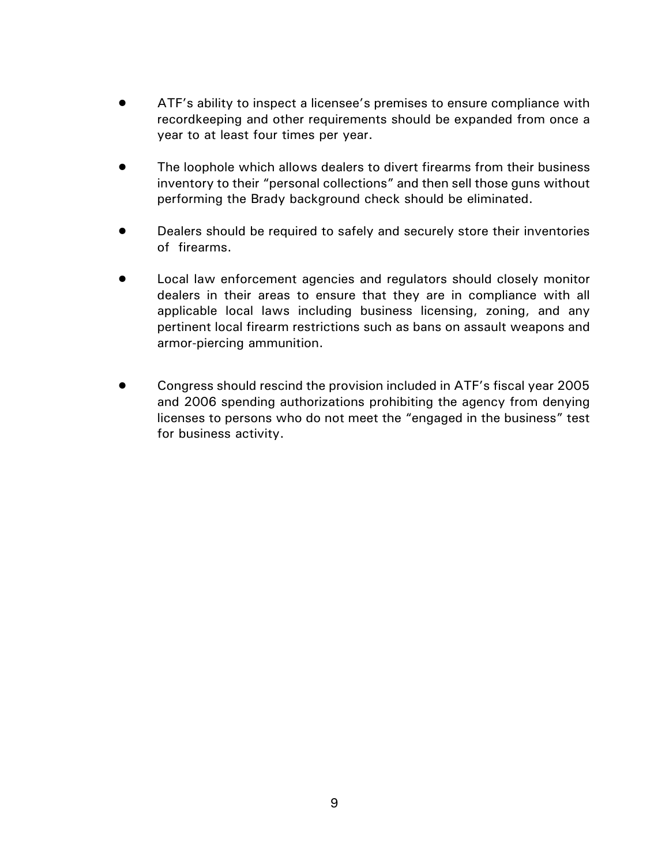- ! ATF's ability to inspect a licensee's premises to ensure compliance with recordkeeping and other requirements should be expanded from once a year to at least four times per year.
- The loophole which allows dealers to divert firearms from their business inventory to their "personal collections" and then sell those guns without performing the Brady background check should be eliminated.
- Dealers should be required to safely and securely store their inventories of firearms.
- Local law enforcement agencies and regulators should closely monitor dealers in their areas to ensure that they are in compliance with all applicable local laws including business licensing, zoning, and any pertinent local firearm restrictions such as bans on assault weapons and armor-piercing ammunition.
- ! Congress should rescind the provision included in ATF's fiscal year 2005 and 2006 spending authorizations prohibiting the agency from denying licenses to persons who do not meet the "engaged in the business" test for business activity.